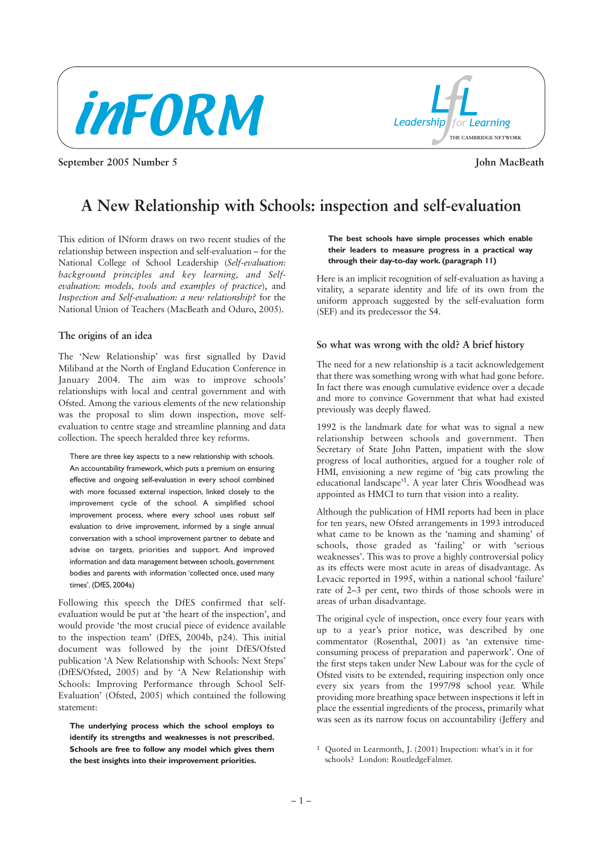



**September 2005 Number 5 John MacBeath** 

# **A New Relationship with Schools: inspection and self-evaluation**

This edition of INform draws on two recent studies of the relationship between inspection and self-evaluation – for the National College of School Leadership (*Self-evaluation: background principles and key learning, and Selfevaluation: models, tools and examples of practice*), and *Inspection and Self-evaluation: a new relationship?* for the National Union of Teachers (MacBeath and Oduro, 2005).

# **The origins of an idea**

The 'New Relationship' was first signalled by David Miliband at the North of England Education Conference in January 2004. The aim was to improve schools' relationships with local and central government and with Ofsted. Among the various elements of the new relationship was the proposal to slim down inspection, move selfevaluation to centre stage and streamline planning and data collection. The speech heralded three key reforms.

There are three key aspects to a new relationship with schools. An accountability framework, which puts a premium on ensuring effective and ongoing self-evaluation in every school combined with more focussed external inspection, linked closely to the improvement cycle of the school. A simplified school improvement process, where every school uses robust self evaluation to drive improvement, informed by a single annual conversation with a school improvement partner to debate and advise on targets, priorities and support. And improved information and data management between schools, government bodies and parents with information 'collected once, used many times'. (DfES, 2004a)

Following this speech the DfES confirmed that selfevaluation would be put at 'the heart of the inspection', and would provide 'the most crucial piece of evidence available to the inspection team' (DfES, 2004b, p24). This initial document was followed by the joint DfES/Ofsted publication 'A New Relationship with Schools: Next Steps' (DfES/Ofsted, 2005) and by 'A New Relationship with Schools: Improving Performance through School Self-Evaluation' (Ofsted, 2005) which contained the following statement:

**The underlying process which the school employs to identify its strengths and weaknesses is not prescribed. Schools are free to follow any model which gives them the best insights into their improvement priorities.**

#### **The best schools have simple processes which enable their leaders to measure progress in a practical way through their day-to-day work. (paragraph 11)**

Here is an implicit recognition of self-evaluation as having a vitality, a separate identity and life of its own from the uniform approach suggested by the self-evaluation form (SEF) and its predecessor the S4.

# **So what was wrong with the old? A brief history**

The need for a new relationship is a tacit acknowledgement that there was something wrong with what had gone before. In fact there was enough cumulative evidence over a decade and more to convince Government that what had existed previously was deeply flawed.

1992 is the landmark date for what was to signal a new relationship between schools and government. Then Secretary of State John Patten, impatient with the slow progress of local authorities, argued for a tougher role of HMI, envisioning a new regime of 'big cats prowling the educational landscape<sup>31</sup>. A year later Chris Woodhead was appointed as HMCI to turn that vision into a reality.

Although the publication of HMI reports had been in place for ten years, new Ofsted arrangements in 1993 introduced what came to be known as the 'naming and shaming' of schools, those graded as 'failing' or with 'serious weaknesses'. This was to prove a highly controversial policy as its effects were most acute in areas of disadvantage. As Levacic reported in 1995, within a national school 'failure' rate of 2–3 per cent, two thirds of those schools were in areas of urban disadvantage.

The original cycle of inspection, once every four years with up to a year's prior notice, was described by one commentator (Rosenthal, 2001) as 'an extensive timeconsuming process of preparation and paperwork'. One of the first steps taken under New Labour was for the cycle of Ofsted visits to be extended, requiring inspection only once every six years from the 1997/98 school year. While providing more breathing space between inspections it left in place the essential ingredients of the process, primarily what was seen as its narrow focus on accountability (Jeffery and

<sup>1</sup> Quoted in Learmonth, J. (2001) Inspection: what's in it for schools? London: RoutledgeFalmer.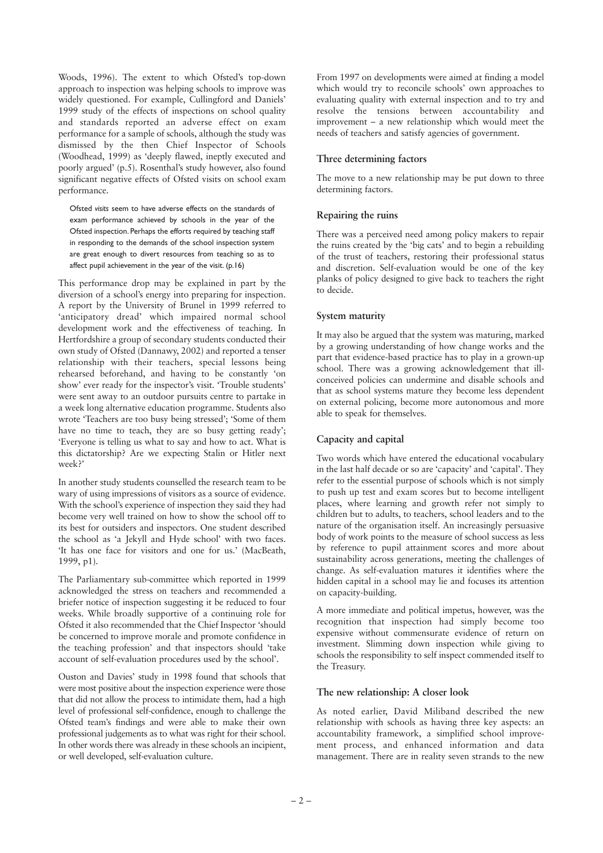Woods, 1996). The extent to which Ofsted's top-down approach to inspection was helping schools to improve was widely questioned. For example, Cullingford and Daniels' 1999 study of the effects of inspections on school quality and standards reported an adverse effect on exam performance for a sample of schools, although the study was dismissed by the then Chief Inspector of Schools (Woodhead, 1999) as 'deeply flawed, ineptly executed and poorly argued' (p.5). Rosenthal's study however, also found significant negative effects of Ofsted visits on school exam performance.

Ofsted *visits* seem to have adverse effects on the standards of exam performance achieved by schools in the year of the Ofsted inspection. Perhaps the efforts required by teaching staff in responding to the demands of the school inspection system are great enough to divert resources from teaching so as to affect pupil achievement in the year of the visit. (p.16)

This performance drop may be explained in part by the diversion of a school's energy into preparing for inspection. A report by the University of Brunel in 1999 referred to 'anticipatory dread' which impaired normal school development work and the effectiveness of teaching. In Hertfordshire a group of secondary students conducted their own study of Ofsted (Dannawy, 2002) and reported a tenser relationship with their teachers, special lessons being rehearsed beforehand, and having to be constantly 'on show' ever ready for the inspector's visit. 'Trouble students' were sent away to an outdoor pursuits centre to partake in a week long alternative education programme. Students also wrote 'Teachers are too busy being stressed'; 'Some of them have no time to teach, they are so busy getting ready'; 'Everyone is telling us what to say and how to act. What is this dictatorship? Are we expecting Stalin or Hitler next week?'

In another study students counselled the research team to be wary of using impressions of visitors as a source of evidence. With the school's experience of inspection they said they had become very well trained on how to show the school off to its best for outsiders and inspectors. One student described the school as 'a Jekyll and Hyde school' with two faces. 'It has one face for visitors and one for us.' (MacBeath, 1999, p1).

The Parliamentary sub-committee which reported in 1999 acknowledged the stress on teachers and recommended a briefer notice of inspection suggesting it be reduced to four weeks. While broadly supportive of a continuing role for Ofsted it also recommended that the Chief Inspector 'should be concerned to improve morale and promote confidence in the teaching profession' and that inspectors should 'take account of self-evaluation procedures used by the school'.

Ouston and Davies' study in 1998 found that schools that were most positive about the inspection experience were those that did not allow the process to intimidate them, had a high level of professional self-confidence, enough to challenge the Ofsted team's findings and were able to make their own professional judgements as to what was right for their school. In other words there was already in these schools an incipient, or well developed, self-evaluation culture.

From 1997 on developments were aimed at finding a model which would try to reconcile schools' own approaches to evaluating quality with external inspection and to try and resolve the tensions between accountability and improvement – a new relationship which would meet the needs of teachers and satisfy agencies of government.

# **Three determining factors**

The move to a new relationship may be put down to three determining factors.

# **Repairing the ruins**

There was a perceived need among policy makers to repair the ruins created by the 'big cats' and to begin a rebuilding of the trust of teachers, restoring their professional status and discretion. Self-evaluation would be one of the key planks of policy designed to give back to teachers the right to decide.

# **System maturity**

It may also be argued that the system was maturing, marked by a growing understanding of how change works and the part that evidence-based practice has to play in a grown-up school. There was a growing acknowledgement that illconceived policies can undermine and disable schools and that as school systems mature they become less dependent on external policing, become more autonomous and more able to speak for themselves.

# **Capacity and capital**

Two words which have entered the educational vocabulary in the last half decade or so are 'capacity' and 'capital'. They refer to the essential purpose of schools which is not simply to push up test and exam scores but to become intelligent places, where learning and growth refer not simply to children but to adults, to teachers, school leaders and to the nature of the organisation itself. An increasingly persuasive body of work points to the measure of school success as less by reference to pupil attainment scores and more about sustainability across generations, meeting the challenges of change. As self-evaluation matures it identifies where the hidden capital in a school may lie and focuses its attention on capacity-building.

A more immediate and political impetus, however, was the recognition that inspection had simply become too expensive without commensurate evidence of return on investment. Slimming down inspection while giving to schools the responsibility to self inspect commended itself to the Treasury.

# **The new relationship: A closer look**

As noted earlier, David Miliband described the new relationship with schools as having three key aspects: an accountability framework, a simplified school improvement process, and enhanced information and data management. There are in reality seven strands to the new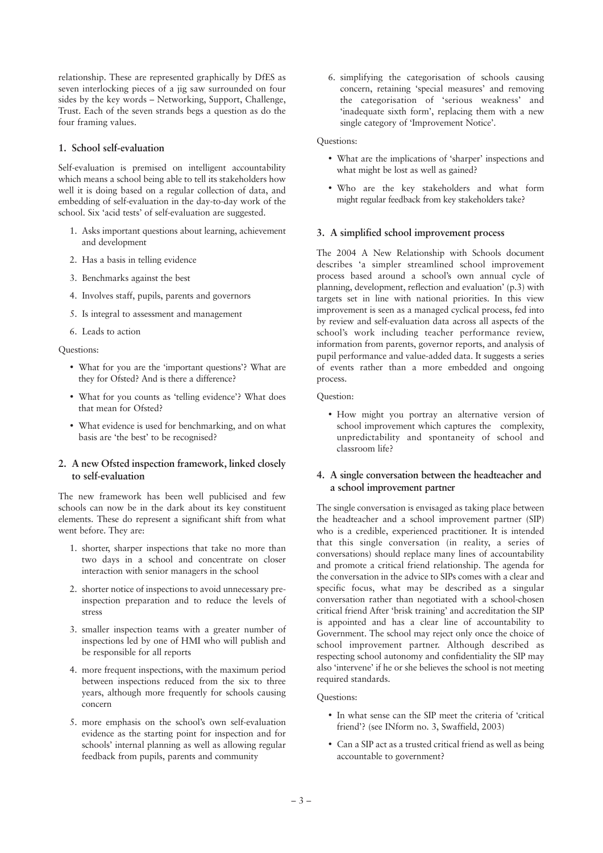relationship. These are represented graphically by DfES as seven interlocking pieces of a jig saw surrounded on four sides by the key words – Networking, Support, Challenge, Trust. Each of the seven strands begs a question as do the four framing values.

# **1. School self-evaluation**

Self-evaluation is premised on intelligent accountability which means a school being able to tell its stakeholders how well it is doing based on a regular collection of data, and embedding of self-evaluation in the day-to-day work of the school. Six 'acid tests' of self-evaluation are suggested.

- 1. Asks important questions about learning, achievement and development
- 2. Has a basis in telling evidence
- 3. Benchmarks against the best
- 4. Involves staff, pupils, parents and governors
- 5. Is integral to assessment and management
- 6. Leads to action

#### Questions:

- What for you are the 'important questions'? What are they for Ofsted? And is there a difference?
- What for you counts as 'telling evidence'? What does that mean for Ofsted?
- What evidence is used for benchmarking, and on what basis are 'the best' to be recognised?

# **2. A new Ofsted inspection framework, linked closely to self-evaluation**

The new framework has been well publicised and few schools can now be in the dark about its key constituent elements. These do represent a significant shift from what went before. They are:

- 1. shorter, sharper inspections that take no more than two days in a school and concentrate on closer interaction with senior managers in the school
- 2. shorter notice of inspections to avoid unnecessary preinspection preparation and to reduce the levels of stress
- 3. smaller inspection teams with a greater number of inspections led by one of HMI who will publish and be responsible for all reports
- 4. more frequent inspections, with the maximum period between inspections reduced from the six to three years, although more frequently for schools causing concern
- 5. more emphasis on the school's own self-evaluation evidence as the starting point for inspection and for schools' internal planning as well as allowing regular feedback from pupils, parents and community

6. simplifying the categorisation of schools causing concern, retaining 'special measures' and removing the categorisation of 'serious weakness' and 'inadequate sixth form', replacing them with a new single category of 'Improvement Notice'.

#### Questions:

- What are the implications of 'sharper' inspections and what might be lost as well as gained?
- Who are the key stakeholders and what form might regular feedback from key stakeholders take?

# **3. A simplified school improvement process**

The 2004 A New Relationship with Schools document describes 'a simpler streamlined school improvement process based around a school's own annual cycle of planning, development, reflection and evaluation' (p.3) with targets set in line with national priorities. In this view improvement is seen as a managed cyclical process, fed into by review and self-evaluation data across all aspects of the school's work including teacher performance review, information from parents, governor reports, and analysis of pupil performance and value-added data. It suggests a series of events rather than a more embedded and ongoing process.

Question:

• How might you portray an alternative version of school improvement which captures the complexity, unpredictability and spontaneity of school and classroom life?

# **4. A single conversation between the headteacher and a school improvement partner**

The single conversation is envisaged as taking place between the headteacher and a school improvement partner (SIP) who is a credible, experienced practitioner. It is intended that this single conversation (in reality, a series of conversations) should replace many lines of accountability and promote a critical friend relationship. The agenda for the conversation in the advice to SIPs comes with a clear and specific focus, what may be described as a singular conversation rather than negotiated with a school-chosen critical friend After 'brisk training' and accreditation the SIP is appointed and has a clear line of accountability to Government. The school may reject only once the choice of school improvement partner. Although described as respecting school autonomy and confidentiality the SIP may also 'intervene' if he or she believes the school is not meeting required standards.

# Questions:

- In what sense can the SIP meet the criteria of 'critical friend'? (see INform no. 3, Swaffield, 2003)
- Can a SIP act as a trusted critical friend as well as being accountable to government?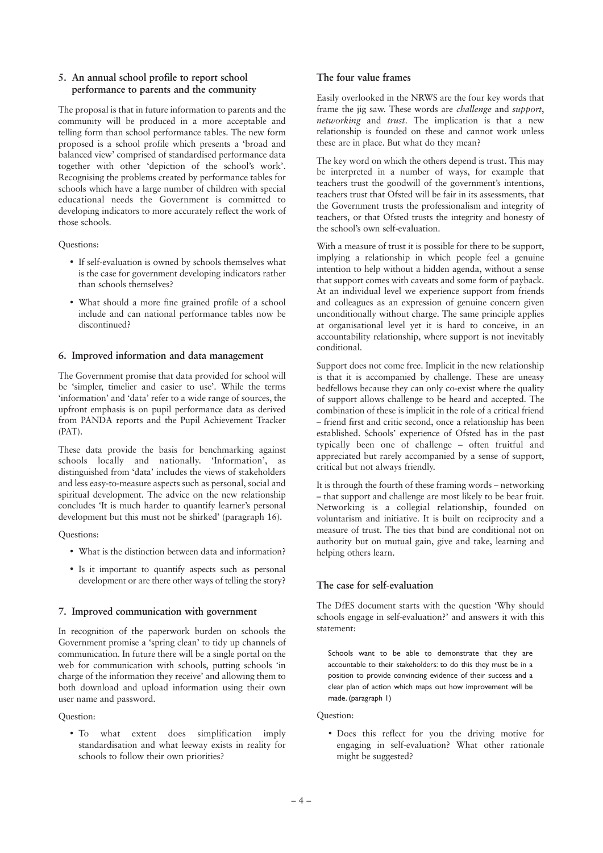# **5. An annual school profile to report school performance to parents and the community**

The proposal is that in future information to parents and the community will be produced in a more acceptable and telling form than school performance tables. The new form proposed is a school profile which presents a 'broad and balanced view' comprised of standardised performance data together with other 'depiction of the school's work'. Recognising the problems created by performance tables for schools which have a large number of children with special educational needs the Government is committed to developing indicators to more accurately reflect the work of those schools.

#### Questions:

- If self-evaluation is owned by schools themselves what is the case for government developing indicators rather than schools themselves?
- What should a more fine grained profile of a school include and can national performance tables now be discontinued?

#### **6. Improved information and data management**

The Government promise that data provided for school will be 'simpler, timelier and easier to use'. While the terms 'information' and 'data' refer to a wide range of sources, the upfront emphasis is on pupil performance data as derived from PANDA reports and the Pupil Achievement Tracker (PAT).

These data provide the basis for benchmarking against schools locally and nationally. 'Information', as distinguished from 'data' includes the views of stakeholders and less easy-to-measure aspects such as personal, social and spiritual development. The advice on the new relationship concludes 'It is much harder to quantify learner's personal development but this must not be shirked' (paragraph 16).

Questions:

- What is the distinction between data and information?
- Is it important to quantify aspects such as personal development or are there other ways of telling the story?

# **7. Improved communication with government**

In recognition of the paperwork burden on schools the Government promise a 'spring clean' to tidy up channels of communication. In future there will be a single portal on the web for communication with schools, putting schools 'in charge of the information they receive' and allowing them to both download and upload information using their own user name and password.

#### Question:

• To what extent does simplification imply standardisation and what leeway exists in reality for schools to follow their own priorities?

# **The four value frames**

Easily overlooked in the NRWS are the four key words that frame the jig saw. These words are *challenge* and *support*, *networking* and *trust*. The implication is that a new relationship is founded on these and cannot work unless these are in place. But what do they mean?

The key word on which the others depend is trust. This may be interpreted in a number of ways, for example that teachers trust the goodwill of the government's intentions, teachers trust that Ofsted will be fair in its assessments, that the Government trusts the professionalism and integrity of teachers, or that Ofsted trusts the integrity and honesty of the school's own self-evaluation.

With a measure of trust it is possible for there to be support, implying a relationship in which people feel a genuine intention to help without a hidden agenda, without a sense that support comes with caveats and some form of payback. At an individual level we experience support from friends and colleagues as an expression of genuine concern given unconditionally without charge. The same principle applies at organisational level yet it is hard to conceive, in an accountability relationship, where support is not inevitably conditional.

Support does not come free. Implicit in the new relationship is that it is accompanied by challenge. These are uneasy bedfellows because they can only co-exist where the quality of support allows challenge to be heard and accepted. The combination of these is implicit in the role of a critical friend – friend first and critic second, once a relationship has been established. Schools' experience of Ofsted has in the past typically been one of challenge – often fruitful and appreciated but rarely accompanied by a sense of support, critical but not always friendly.

It is through the fourth of these framing words – networking – that support and challenge are most likely to be bear fruit. Networking is a collegial relationship, founded on voluntarism and initiative. It is built on reciprocity and a measure of trust. The ties that bind are conditional not on authority but on mutual gain, give and take, learning and helping others learn.

# **The case for self-evaluation**

The DfES document starts with the question 'Why should schools engage in self-evaluation?' and answers it with this statement:

Schools want to be able to demonstrate that they are accountable to their stakeholders: to do this they must be in a position to provide convincing evidence of their success and a clear plan of action which maps out how improvement will be made. (paragraph 1)

Question:

• Does this reflect for you the driving motive for engaging in self-evaluation? What other rationale might be suggested?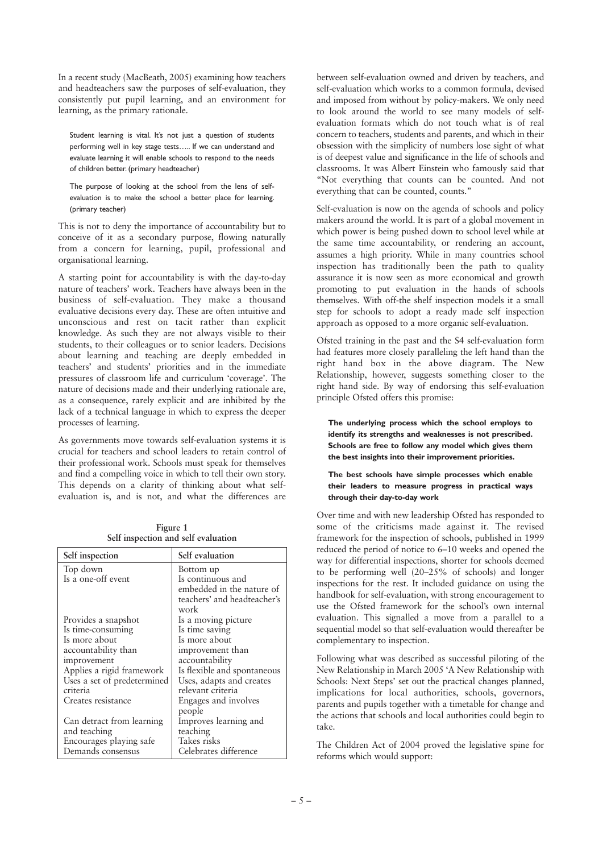In a recent study (MacBeath, 2005) examining how teachers and headteachers saw the purposes of self-evaluation, they consistently put pupil learning, and an environment for learning, as the primary rationale.

Student learning is vital. It's not just a question of students performing well in key stage tests….. If we can understand and evaluate learning it will enable schools to respond to the needs of children better. (primary headteacher)

The purpose of looking at the school from the lens of selfevaluation is to make the school a better place for learning. (primary teacher)

This is not to deny the importance of accountability but to conceive of it as a secondary purpose, flowing naturally from a concern for learning, pupil, professional and organisational learning.

A starting point for accountability is with the day-to-day nature of teachers' work. Teachers have always been in the business of self-evaluation. They make a thousand evaluative decisions every day. These are often intuitive and unconscious and rest on tacit rather than explicit knowledge. As such they are not always visible to their students, to their colleagues or to senior leaders. Decisions about learning and teaching are deeply embedded in teachers' and students' priorities and in the immediate pressures of classroom life and curriculum 'coverage'. The nature of decisions made and their underlying rationale are, as a consequence, rarely explicit and are inhibited by the lack of a technical language in which to express the deeper processes of learning.

As governments move towards self-evaluation systems it is crucial for teachers and school leaders to retain control of their professional work. Schools must speak for themselves and find a compelling voice in which to tell their own story. This depends on a clarity of thinking about what selfevaluation is, and is not, and what the differences are

**Figure 1 Self inspection and self evaluation**

| Self inspection             | Self evaluation             |
|-----------------------------|-----------------------------|
| Top down                    | Bottom up                   |
| Is a one-off event          | Is continuous and           |
|                             | embedded in the nature of   |
|                             | teachers' and headteacher's |
|                             | work                        |
| Provides a snapshot         | Is a moving picture         |
| Is time-consuming           | Is time saving              |
| Is more about               | Is more about               |
| accountability than         | improvement than            |
| improvement                 | accountability              |
| Applies a rigid framework   | Is flexible and spontaneous |
| Uses a set of predetermined | Uses, adapts and creates    |
| criteria                    | relevant criteria           |
| Creates resistance          | Engages and involves        |
|                             | people                      |
| Can detract from learning   | Improves learning and       |
| and teaching                | teaching                    |
| Encourages playing safe     | Takes risks                 |
| Demands consensus           | Celebrates difference       |

between self-evaluation owned and driven by teachers, and self-evaluation which works to a common formula, devised and imposed from without by policy-makers. We only need to look around the world to see many models of selfevaluation formats which do not touch what is of real concern to teachers, students and parents, and which in their obsession with the simplicity of numbers lose sight of what is of deepest value and significance in the life of schools and classrooms. It was Albert Einstein who famously said that "Not everything that counts can be counted. And not everything that can be counted, counts."

Self-evaluation is now on the agenda of schools and policy makers around the world. It is part of a global movement in which power is being pushed down to school level while at the same time accountability, or rendering an account, assumes a high priority. While in many countries school inspection has traditionally been the path to quality assurance it is now seen as more economical and growth promoting to put evaluation in the hands of schools themselves. With off-the shelf inspection models it a small step for schools to adopt a ready made self inspection approach as opposed to a more organic self-evaluation.

Ofsted training in the past and the S4 self-evaluation form had features more closely paralleling the left hand than the right hand box in the above diagram. The New Relationship, however, suggests something closer to the right hand side. By way of endorsing this self-evaluation principle Ofsted offers this promise:

**The underlying process which the school employs to identify its strengths and weaknesses is not prescribed. Schools are free to follow any model which gives them the best insights into their improvement priorities.**

#### **The best schools have simple processes which enable their leaders to measure progress in practical ways through their day-to-day work**

Over time and with new leadership Ofsted has responded to some of the criticisms made against it. The revised framework for the inspection of schools, published in 1999 reduced the period of notice to 6–10 weeks and opened the way for differential inspections, shorter for schools deemed to be performing well (20–25% of schools) and longer inspections for the rest. It included guidance on using the handbook for self-evaluation, with strong encouragement to use the Ofsted framework for the school's own internal evaluation. This signalled a move from a parallel to a sequential model so that self-evaluation would thereafter be complementary to inspection.

Following what was described as successful piloting of the New Relationship in March 2005 'A New Relationship with Schools: Next Steps' set out the practical changes planned, implications for local authorities, schools, governors, parents and pupils together with a timetable for change and the actions that schools and local authorities could begin to take.

The Children Act of 2004 proved the legislative spine for reforms which would support: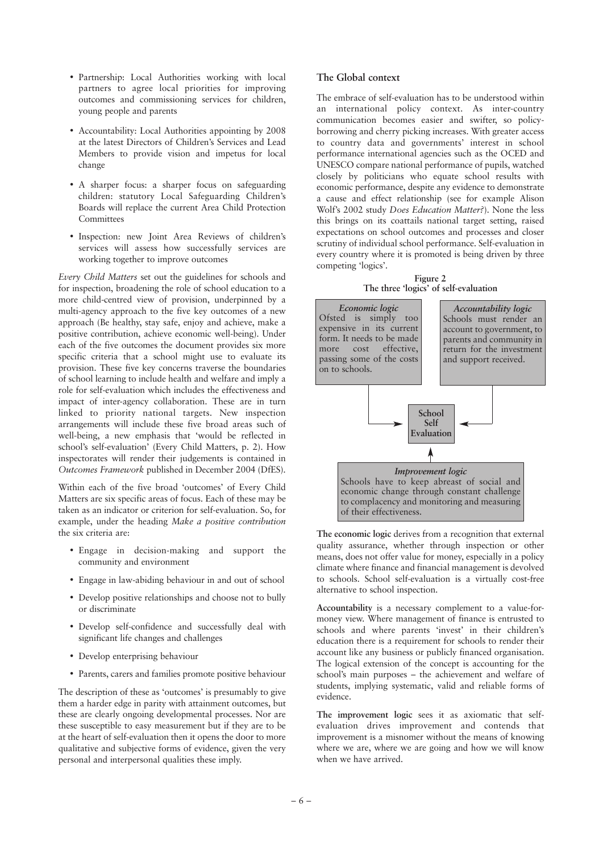- Partnership: Local Authorities working with local partners to agree local priorities for improving outcomes and commissioning services for children, young people and parents
- Accountability: Local Authorities appointing by 2008 at the latest Directors of Children's Services and Lead Members to provide vision and impetus for local change
- A sharper focus: a sharper focus on safeguarding children: statutory Local Safeguarding Children's Boards will replace the current Area Child Protection Committees
- Inspection: new Joint Area Reviews of children's services will assess how successfully services are working together to improve outcomes

*Every Child Matters* set out the guidelines for schools and for inspection, broadening the role of school education to a more child-centred view of provision, underpinned by a multi-agency approach to the five key outcomes of a new approach (Be healthy, stay safe, enjoy and achieve, make a positive contribution, achieve economic well-being). Under each of the five outcomes the document provides six more specific criteria that a school might use to evaluate its provision. These five key concerns traverse the boundaries of school learning to include health and welfare and imply a role for self-evaluation which includes the effectiveness and impact of inter-agency collaboration. These are in turn linked to priority national targets. New inspection arrangements will include these five broad areas such of well-being, a new emphasis that 'would be reflected in school's self-evaluation' (Every Child Matters, p. 2). How inspectorates will render their judgements is contained in *Outcomes Framework* published in December 2004 (DfES).

Within each of the five broad 'outcomes' of Every Child Matters are six specific areas of focus. Each of these may be taken as an indicator or criterion for self-evaluation. So, for example, under the heading *Make a positive contribution* the six criteria are:

- Engage in decision-making and support the community and environment
- Engage in law-abiding behaviour in and out of school
- Develop positive relationships and choose not to bully or discriminate
- Develop self-confidence and successfully deal with significant life changes and challenges
- Develop enterprising behaviour
- Parents, carers and families promote positive behaviour

The description of these as 'outcomes' is presumably to give them a harder edge in parity with attainment outcomes, but these are clearly ongoing developmental processes. Nor are these susceptible to easy measurement but if they are to be at the heart of self-evaluation then it opens the door to more qualitative and subjective forms of evidence, given the very personal and interpersonal qualities these imply.

#### **The Global context**

The embrace of self-evaluation has to be understood within an international policy context. As inter-country communication becomes easier and swifter, so policyborrowing and cherry picking increases. With greater access to country data and governments' interest in school performance international agencies such as the OCED and UNESCO compare national performance of pupils, watched closely by politicians who equate school results with economic performance, despite any evidence to demonstrate a cause and effect relationship (see for example Alison Wolf's 2002 study *Does Education Matter?*). None the less this brings on its coattails national target setting, raised expectations on school outcomes and processes and closer scrutiny of individual school performance. Self-evaluation in every country where it is promoted is being driven by three competing 'logics'.





**The economic logic** derives from a recognition that external quality assurance, whether through inspection or other means, does not offer value for money, especially in a policy climate where finance and financial management is devolved to schools. School self-evaluation is a virtually cost-free alternative to school inspection.

**Accountability** is a necessary complement to a value-formoney view. Where management of finance is entrusted to schools and where parents 'invest' in their children's education there is a requirement for schools to render their account like any business or publicly financed organisation. The logical extension of the concept is accounting for the school's main purposes – the achievement and welfare of students, implying systematic, valid and reliable forms of evidence.

**The improvement logic** sees it as axiomatic that selfevaluation drives improvement and contends that improvement is a misnomer without the means of knowing where we are, where we are going and how we will know when we have arrived.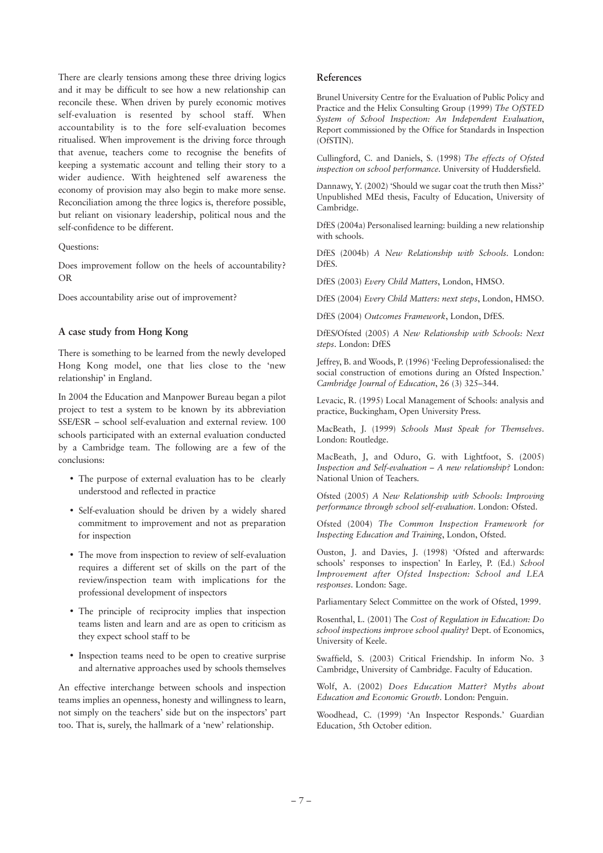There are clearly tensions among these three driving logics and it may be difficult to see how a new relationship can reconcile these. When driven by purely economic motives self-evaluation is resented by school staff. When accountability is to the fore self-evaluation becomes ritualised. When improvement is the driving force through that avenue, teachers come to recognise the benefits of keeping a systematic account and telling their story to a wider audience. With heightened self awareness the economy of provision may also begin to make more sense. Reconciliation among the three logics is, therefore possible, but reliant on visionary leadership, political nous and the self-confidence to be different.

Questions:

Does improvement follow on the heels of accountability? OR

Does accountability arise out of improvement?

#### **A case study from Hong Kong**

There is something to be learned from the newly developed Hong Kong model, one that lies close to the 'new relationship' in England.

In 2004 the Education and Manpower Bureau began a pilot project to test a system to be known by its abbreviation SSE/ESR – school self-evaluation and external review. 100 schools participated with an external evaluation conducted by a Cambridge team. The following are a few of the conclusions:

- The purpose of external evaluation has to be clearly understood and reflected in practice
- Self-evaluation should be driven by a widely shared commitment to improvement and not as preparation for inspection
- The move from inspection to review of self-evaluation requires a different set of skills on the part of the review/inspection team with implications for the professional development of inspectors
- The principle of reciprocity implies that inspection teams listen and learn and are as open to criticism as they expect school staff to be
- Inspection teams need to be open to creative surprise and alternative approaches used by schools themselves

An effective interchange between schools and inspection teams implies an openness, honesty and willingness to learn, not simply on the teachers' side but on the inspectors' part too. That is, surely, the hallmark of a 'new' relationship.

#### **References**

Brunel University Centre for the Evaluation of Public Policy and Practice and the Helix Consulting Group (1999) *The OfSTED System of School Inspection: An Independent Evaluation*, Report commissioned by the Office for Standards in Inspection (OfSTIN).

Cullingford, C. and Daniels, S. (1998) *The effects of Ofsted inspection on school performance*. University of Huddersfield.

Dannawy, Y. (2002) 'Should we sugar coat the truth then Miss?' Unpublished MEd thesis, Faculty of Education, University of Cambridge.

DfES (2004a) Personalised learning: building a new relationship with schools.

DfES (2004b) *A New Relationship with Schools*. London: DfES.

DfES (2003) *Every Child Matters*, London, HMSO.

DfES (2004) *Every Child Matters: next steps*, London, HMSO.

DfES (2004) *Outcomes Framework*, London, DfES.

DfES/Ofsted (2005) *A New Relationship with Schools: Next steps*. London: DfES

Jeffrey, B. and Woods, P. (1996) 'Feeling Deprofessionalised: the social construction of emotions during an Ofsted Inspection.' *Cambridge Journal of Education*, 26 (3) 325–344.

Levacic, R. (1995) Local Management of Schools: analysis and practice, Buckingham, Open University Press.

MacBeath, J. (1999) *Schools Must Speak for Themselves*. London: Routledge.

MacBeath, J, and Oduro, G. with Lightfoot, S. (2005) *Inspection and Self-evaluation – A new relationship?* London: National Union of Teachers.

Ofsted (2005) *A New Relationship with Schools: Improving performance through school self-evaluation*. London: Ofsted.

Ofsted (2004) *The Common Inspection Framework for Inspecting Education and Training*, London, Ofsted.

Ouston, J. and Davies, J. (1998) 'Ofsted and afterwards: schools' responses to inspection' In Earley, P. (Ed.) *School Improvement after Ofsted Inspection: School and LEA responses*. London: Sage.

Parliamentary Select Committee on the work of Ofsted, 1999.

Rosenthal, L. (2001) The *Cost of Regulation in Education: Do school inspections improve school quality?* Dept. of Economics, University of Keele.

Swaffield, S. (2003) Critical Friendship. In inform No. 3 Cambridge, University of Cambridge. Faculty of Education.

Wolf, A. (2002) *Does Education Matter? Myths about Education and Economic Growth*. London: Penguin.

Woodhead, C. (1999) 'An Inspector Responds.' Guardian Education, 5th October edition.